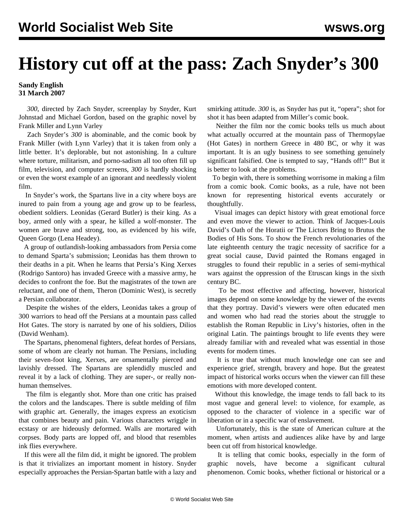## **History cut off at the pass: Zach Snyder's 300**

## **Sandy English 31 March 2007**

 *300*, directed by Zach Snyder, screenplay by Snyder, Kurt Johnstad and Michael Gordon, based on the graphic novel by Frank Miller and Lynn Varley

 Zach Snyder's *300* is abominable, and the comic book by Frank Miller (with Lynn Varley) that it is taken from only a little better. It's deplorable, but not astonishing. In a culture where torture, militarism, and porno-sadism all too often fill up film, television, and computer screens, *300* is hardly shocking or even the worst example of an ignorant and needlessly violent film.

 In Snyder's work, the Spartans live in a city where boys are inured to pain from a young age and grow up to be fearless, obedient soldiers. Leonidas (Gerard Butler) is their king. As a boy, armed only with a spear, he killed a wolf-monster. The women are brave and strong, too, as evidenced by his wife, Queen Gorgo (Lena Headey).

 A group of outlandish-looking ambassadors from Persia come to demand Sparta's submission; Leonidas has them thrown to their deaths in a pit. When he learns that Persia's King Xerxes (Rodrigo Santoro) has invaded Greece with a massive army, he decides to confront the foe. But the magistrates of the town are reluctant, and one of them, Theron (Dominic West), is secretly a Persian collaborator.

 Despite the wishes of the elders, Leonidas takes a group of 300 warriors to head off the Persians at a mountain pass called Hot Gates. The story is narrated by one of his soldiers, Dilios (David Wenham).

 The Spartans, phenomenal fighters, defeat hordes of Persians, some of whom are clearly not human. The Persians, including their seven-foot king, Xerxes, are ornamentally pierced and lavishly dressed. The Spartans are splendidly muscled and reveal it by a lack of clothing. They are super-, or really nonhuman themselves.

 The film is elegantly shot. More than one critic has praised the colors and the landscapes. There is subtle melding of film with graphic art. Generally, the images express an exoticism that combines beauty and pain. Various characters wriggle in ecstasy or are hideously deformed. Walls are mortared with corpses. Body parts are lopped off, and blood that resembles ink flies everywhere.

 If this were all the film did, it might be ignored. The problem is that it trivializes an important moment in history. Snyder especially approaches the Persian-Spartan battle with a lazy and smirking attitude. *300* is, as Snyder has put it, "opera"; shot for shot it has been adapted from Miller's comic book.

 Neither the film nor the comic books tells us much about what actually occurred at the mountain pass of Thermopylae (Hot Gates) in northern Greece in 480 BC, or why it was important. It is an ugly business to see something genuinely significant falsified. One is tempted to say, "Hands off!" But it is better to look at the problems.

 To begin with, there is something worrisome in making a film from a comic book. Comic books, as a rule, have not been known for representing historical events accurately or thoughtfully.

 Visual images can depict history with great emotional force and even move the viewer to action. Think of Jacques-Louis David's Oath of the Horatii or The Lictors Bring to Brutus the Bodies of His Sons. To show the French revolutionaries of the late eighteenth century the tragic necessity of sacrifice for a great social cause, David painted the Romans engaged in struggles to found their republic in a series of semi-mythical wars against the oppression of the Etruscan kings in the sixth century BC.

 To be most effective and affecting, however, historical images depend on some knowledge by the viewer of the events that they portray. David's viewers were often educated men and women who had read the stories about the struggle to establish the Roman Republic in Livy's histories, often in the original Latin. The paintings brought to life events they were already familiar with and revealed what was essential in those events for modern times.

 It is true that without much knowledge one can see and experience grief, strength, bravery and hope. But the greatest impact of historical works occurs when the viewer can fill these emotions with more developed content.

 Without this knowledge, the image tends to fall back to its most vague and general level: to violence, for example, as opposed to the character of violence in a specific war of liberation or in a specific war of enslavement.

 Unfortunately, this is the state of American culture at the moment, when artists and audiences alike have by and large been cut off from historical knowledge.

 It is telling that comic books, especially in the form of graphic novels, have become a significant cultural phenomenon. Comic books, whether fictional or historical or a